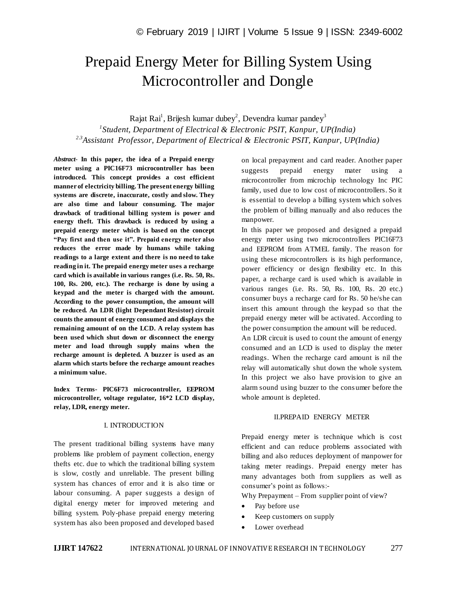# Prepaid Energy Meter for Billing System Using Microcontroller and Dongle

Rajat Rai $^1$ , Brijesh kumar dubey $^2$ , Devendra kumar pandey $^3$ *1 Student, Department of Electrical & Electronic PSIT, Kanpur, UP(India) 2.3Assistant Professor, Department of Electrical & Electronic PSIT, Kanpur, UP(India)*

*Abstract*- **In this paper, the idea of a Prepaid energy meter using a PIC16F73 microcontroller has been introduced. This concept provides a cost efficient manner of electricity billing. The present energy billing systems are discrete, inaccurate, costly and slow. They are also time and labour consuming. The major drawback of traditional billing system is power and energy theft. This drawback is reduced by using a prepaid energy meter which is based on the concept "Pay first and then use it". Prepaid energy meter also reduces the error made by humans while taking readings to a large extent and there is no need to take reading in it. The prepaid energy meter uses a recharge card which is available in various ranges (i.e. Rs. 50, Rs. 100, Rs. 200, etc.). The recharge is done by using a keypad and the meter is charged with the amount. According to the power consumption, the amount will be reduced. An LDR (light Dependant Resistor) circuit counts the amount of energy consumed and displays the remaining amount of on the LCD. A relay system has been used which shut down or disconnect the energy meter and load through supply mains when the recharge amount is depleted. A buzzer is used as an alarm which starts before the recharge amount reaches a minimum value.**

**Index Terms- PIC6F73 microcontroller, EEPROM microcontroller, voltage regulator, 16\*2 LCD display, relay, LDR, energy meter.**

#### I. INTRODUCTION

The present traditional billing systems have many problems like problem of payment collection, energy thefts etc. due to which the traditional billing system is slow, costly and unreliable. The present billing system has chances of error and it is also time or labour consuming. A paper suggests a design of digital energy meter for improved metering and billing system. Poly-phase prepaid energy metering system has also been proposed and developed based

on local prepayment and card reader. Another paper suggests prepaid energy mater using a microcontroller from microchip technology Inc PIC family, used due to low cost of microcontrollers. So it is essential to develop a billing system which solves the problem of billing manually and also reduces the manpower.

In this paper we proposed and designed a prepaid energy meter using two microcontrollers PIC16F73 and EEPROM from ATMEL family. The reason for using these microcontrollers is its high performance, power efficiency or design flexibility etc. In this paper, a recharge card is used which is available in various ranges (i.e. Rs. 50, Rs. 100, Rs. 20 etc.) consumer buys a recharge card for Rs. 50 he/she can insert this amount through the keypad so that the prepaid energy meter will be activated. According to the power consumption the amount will be reduced.

An LDR circuit is used to count the amount of energy consumed and an LCD is used to display the meter readings. When the recharge card amount is nil the relay will automatically shut down the whole system. In this project we also have provision to give an alarm sound using buzzer to the consumer before the whole amount is depleted.

#### II.PREPAID ENERGY METER

Prepaid energy meter is technique which is cost efficient and can reduce problems associated with billing and also reduces deployment of manpower for taking meter readings. Prepaid energy meter has many advantages both from suppliers as well as consumer's point as follows:-

Why Prepayment – From supplier point of view?

- Pay before use
- Keep customers on supply
- Lower overhead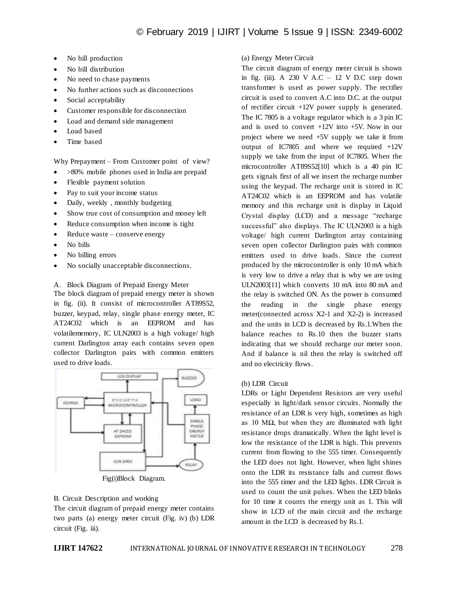- No bill production
- No bill distribution
- No need to chase payments
- No further actions such as disconnections
- Social acceptability
- Customer responsible for disconnection
- Load and demand side management
- Load based
- Time based

Why Prepayment – From Customer point of view?

- >80% mobile phones used in India are prepaid
- Flexible payment solution
- Pay to suit your income status
- Daily, weekly , monthly budgeting
- Show true cost of consumption and money left
- Reduce consumption when income is tight
- Reduce waste conserve energy
- No bills
- No billing errors
- No socially unacceptable disconnections.

A. Block Diagram of Prepaid Energy Meter

The block diagram of prepaid energy meter is shown in fig. (ii). It consist of microcontroller AT89S52, buzzer, keypad, relay, single phase energy meter, IC AT24C02 which is an EEPROM and has volatilememory, IC ULN2003 is a high voltage/ high current Darlington array each contains seven open collector Darlington pairs with common emitters used to drive loads.



Fig(i)Block Diagram.

## B. Circuit Description and working

The circuit diagram of prepaid energy meter contains two parts (a) energy meter circuit (Fig. iv) (b) LDR circuit (Fig. iii).

# (a) Energy Meter Circuit

The circuit diagram of energy meter circuit is shown in fig. (iii). A 230 V A.C – 12 V D.C step down transformer is used as power supply. The rectifier circuit is used to convert A.C into D.C. at the output of rectifier circuit +12V power supply is generated. The IC 7805 is a voltage regulator which is a 3 pin IC and is used to convert +12V into +5V. Now in our project where we need +5V supply we take it from output of IC7805 and where we required +12V supply we take from the input of IC7805. When the microcontroller AT89S52[10] which is a 40 pin IC gets signals first of all we insert the recharge number using the keypad. The recharge unit is stored in IC AT24C02 which is an EEPROM and has volatile memory and this recharge unit is display in Liquid Crystal display (LCD) and a message "recharge successful" also displays. The IC ULN2003 is a high voltage/ high current Darlington array containing seven open collector Darlington pairs with common emitters used to drive loads. Since the current produced by the microcontroller is only 10 mA which is very low to drive a relay that is why we are using ULN2003[11] which converts 10 mA into 80 mA and the relay is switched ON. As the power is consumed the reading in the single phase energy meter(connected across X2-1 and X2-2) is increased and the units in LCD is decreased by Rs.1.When the balance reaches to Rs.10 then the buzzer starts indicating that we should recharge our meter soon. And if balance is nil then the relay is switched off and no electricity flows.

## (b) LDR Circuit

LDRs or Light Dependent Resistors are very useful especially in light/dark sensor circuits. Normally the resistance of an LDR is very high, sometimes as high as 10 MΩ, but when they are illuminated with light resistance drops dramatically. When the light level is low the resistance of the LDR is high. This prevents current from flowing to the 555 timer. Consequently the LED does not light. However, when light shines onto the LDR its resistance falls and current flows into the 555 timer and the LED lights. LDR Circuit is used to count the unit pulses. When the LED blinks for 10 time it counts the energy unit as 1. This will show in LCD of the main circuit and the recharge amount in the LCD is decreased by Rs.1.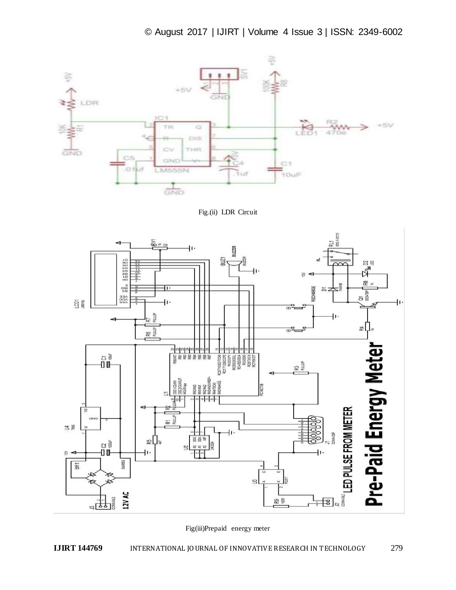

Fig.(ii) LDR Circuit



Fig(iii)Prepaid energy meter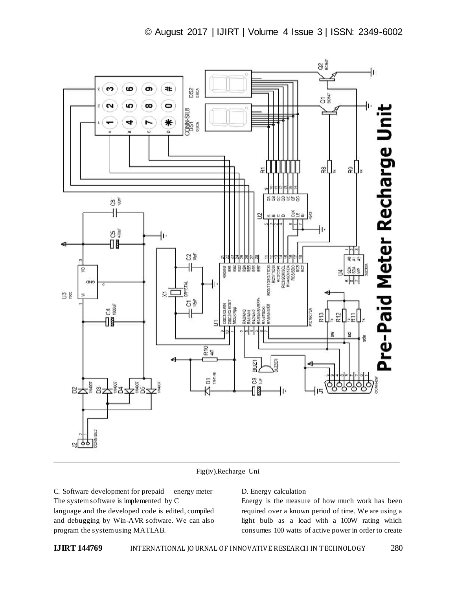

Fig(iv).Recharge Uni

C. Software development for prepaid energy meter The system software is implemented by C language and the developed code is edited, compiled and debugging by Win-AVR software. We can also program the system using MATLAB.

## D. Energy calculation

Energy is the measure of how much work has been required over a known period of time. We are using a light bulb as a load with a 100W rating which consumes 100 watts of active power in order to create

**IJIRT 144769** INTERNATIONAL JOURNAL OF INNOVATIVE RESEARCH IN TECHNOLOGY 280